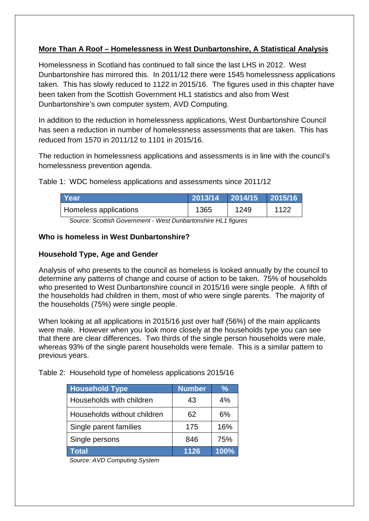# **More Than A Roof – Homelessness in West Dunbartonshire, A Statistical Analysis**

Homelessness in Scotland has continued to fall since the last LHS in 2012. West Dunbartonshire has mirrored this. In 2011/12 there were 1545 homelessness applications taken. This has slowly reduced to 1122 in 2015/16. The figures used in this chapter have been taken from the Scottish Government HL1 statistics and also from West Dunbartonshire's own computer system, AVD Computing.

In addition to the reduction in homelessness applications, West Dunbartonshire Council has seen a reduction in number of homelessness assessments that are taken. This has reduced from 1570 in 2011/12 to 1101 in 2015/16.

The reduction in homelessness applications and assessments is in line with the council's homelessness prevention agenda.

Table 1: WDC homeless applications and assessments since 2011/12

|              | $\sqrt{2013/14}$ 2014/15<br> 2015/16                         |
|--------------|--------------------------------------------------------------|
| 1365<br>1249 | 1122                                                         |
|              | Source: Scottish Covernment Most Dunbartonshire HI 1 figures |

*Source: Scottish Government - West Dunbartonshire HL1 figures*

#### **Who is homeless in West Dunbartonshire?**

### **Household Type, Age and Gender**

Analysis of who presents to the council as homeless is looked annually by the council to determine any patterns of change and course of action to be taken. 75% of households who presented to West Dunbartonshire council in 2015/16 were single people. A fifth of the households had children in them, most of who were single parents. The majority of the households (75%) were single people.

When looking at all applications in 2015/16 just over half (56%) of the main applicants were male. However when you look more closely at the households type you can see that there are clear differences. Two thirds of the single person households were male, whereas 93% of the single parent households were female. This is a similar pattern to previous years.

Table 2: Household type of homeless applications 2015/16

| <b>Household Type</b>       | <b>Number</b> | ℅    |
|-----------------------------|---------------|------|
| Households with children    | 43            | 4%   |
| Households without children | 62            | 6%   |
| Single parent families      | 175           | 16%  |
| Single persons              | 846           | 75%  |
| <b>Total</b>                | 1126          | 100% |

*Source: AVD Computing System*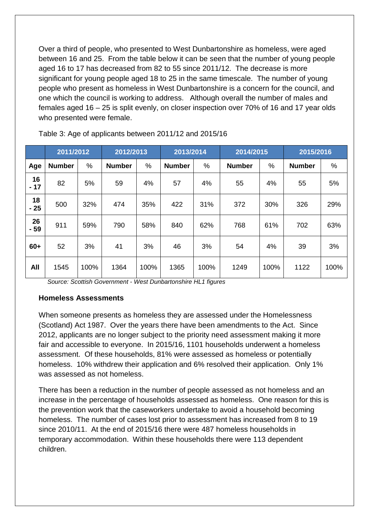Over a third of people, who presented to West Dunbartonshire as homeless, were aged between 16 and 25. From the table below it can be seen that the number of young people aged 16 to 17 has decreased from 82 to 55 since 2011/12. The decrease is more significant for young people aged 18 to 25 in the same timescale. The number of young people who present as homeless in West Dunbartonshire is a concern for the council, and one which the council is working to address. Although overall the number of males and females aged 16 – 25 is split evenly, on closer inspection over 70% of 16 and 17 year olds who presented were female.

|             | 2011/2012     |      | 2012/2013     |      | 2013/2014     |      | 2014/2015     |      | 2015/2016     |      |
|-------------|---------------|------|---------------|------|---------------|------|---------------|------|---------------|------|
| Age         | <b>Number</b> | %    | <b>Number</b> | %    | <b>Number</b> | %    | <b>Number</b> | $\%$ | <b>Number</b> | %    |
| 16<br>$-17$ | 82            | 5%   | 59            | 4%   | 57            | 4%   | 55            | 4%   | 55            | 5%   |
| 18<br>$-25$ | 500           | 32%  | 474           | 35%  | 422           | 31%  | 372           | 30%  | 326           | 29%  |
| 26<br>$-59$ | 911           | 59%  | 790           | 58%  | 840           | 62%  | 768           | 61%  | 702           | 63%  |
| 60+         | 52            | 3%   | 41            | 3%   | 46            | 3%   | 54            | 4%   | 39            | 3%   |
| All         | 1545          | 100% | 1364          | 100% | 1365          | 100% | 1249          | 100% | 1122          | 100% |

Table 3: Age of applicants between 2011/12 and 2015/16

*Source: Scottish Government - West Dunbartonshire HL1 figures*

## **Homeless Assessments**

When someone presents as homeless they are assessed under the Homelessness (Scotland) Act 1987. Over the years there have been amendments to the Act. Since 2012, applicants are no longer subject to the priority need assessment making it more fair and accessible to everyone. In 2015/16, 1101 households underwent a homeless assessment. Of these households, 81% were assessed as homeless or potentially homeless. 10% withdrew their application and 6% resolved their application. Only 1% was assessed as not homeless.

There has been a reduction in the number of people assessed as not homeless and an increase in the percentage of households assessed as homeless. One reason for this is the prevention work that the caseworkers undertake to avoid a household becoming homeless. The number of cases lost prior to assessment has increased from 8 to 19 since 2010/11. At the end of 2015/16 there were 487 homeless households in temporary accommodation. Within these households there were 113 dependent children.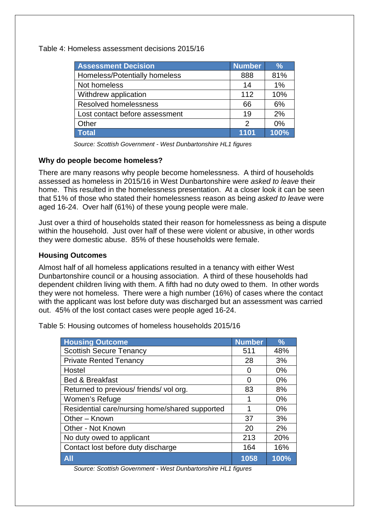Table 4: Homeless assessment decisions 2015/16

| <b>Assessment Decision</b>     | <b>Number</b> | $\frac{9}{6}$ |
|--------------------------------|---------------|---------------|
| Homeless/Potentially homeless  | 888           | 81%           |
| Not homeless                   | 14            | 1%            |
| Withdrew application           | 112           | 10%           |
| <b>Resolved homelessness</b>   | 66            | 6%            |
| Lost contact before assessment | 19            | 2%            |
| Other                          | $\mathcal{P}$ | $0\%$         |
| <b>Total</b>                   | 1101          | 100%          |

*Source: Scottish Government - West Dunbartonshire HL1 figures*

### **Why do people become homeless?**

There are many reasons why people become homelessness. A third of households assessed as homeless in 2015/16 in West Dunbartonshire were *asked to leave* their home. This resulted in the homelessness presentation. At a closer look it can be seen that 51% of those who stated their homelessness reason as being *asked to leave* were aged 16-24. Over half (61%) of these young people were male.

Just over a third of households stated their reason for homelessness as being a dispute within the household. Just over half of these were violent or abusive, in other words they were domestic abuse. 85% of these households were female.

### **Housing Outcomes**

Almost half of all homeless applications resulted in a tenancy with either West Dunbartonshire council or a housing association. A third of these households had dependent children living with them. A fifth had no duty owed to them. In other words they were not homeless. There were a high number (16%) of cases where the contact with the applicant was lost before duty was discharged but an assessment was carried out. 45% of the lost contact cases were people aged 16-24.

Table 5: Housing outcomes of homeless households 2015/16

| <b>Housing Outcome</b>                         | <b>Number</b> | $\frac{9}{6}$ |
|------------------------------------------------|---------------|---------------|
| <b>Scottish Secure Tenancy</b>                 | 511           | 48%           |
| <b>Private Rented Tenancy</b>                  | 28            | 3%            |
| Hostel                                         | O             | 0%            |
| <b>Bed &amp; Breakfast</b>                     | O             | 0%            |
| Returned to previous/ friends/ vol org.        | 83            | 8%            |
| Women's Refuge                                 | 1             | 0%            |
| Residential care/nursing home/shared supported | 1             | 0%            |
| Other - Known                                  | 37            | 3%            |
| Other - Not Known                              | 20            | 2%            |
| No duty owed to applicant                      | 213           | 20%           |
| Contact lost before duty discharge             | 164           | 16%           |
| <b>All</b>                                     | 1058          | 100%          |

*Source: Scottish Government - West Dunbartonshire HL1 figures*